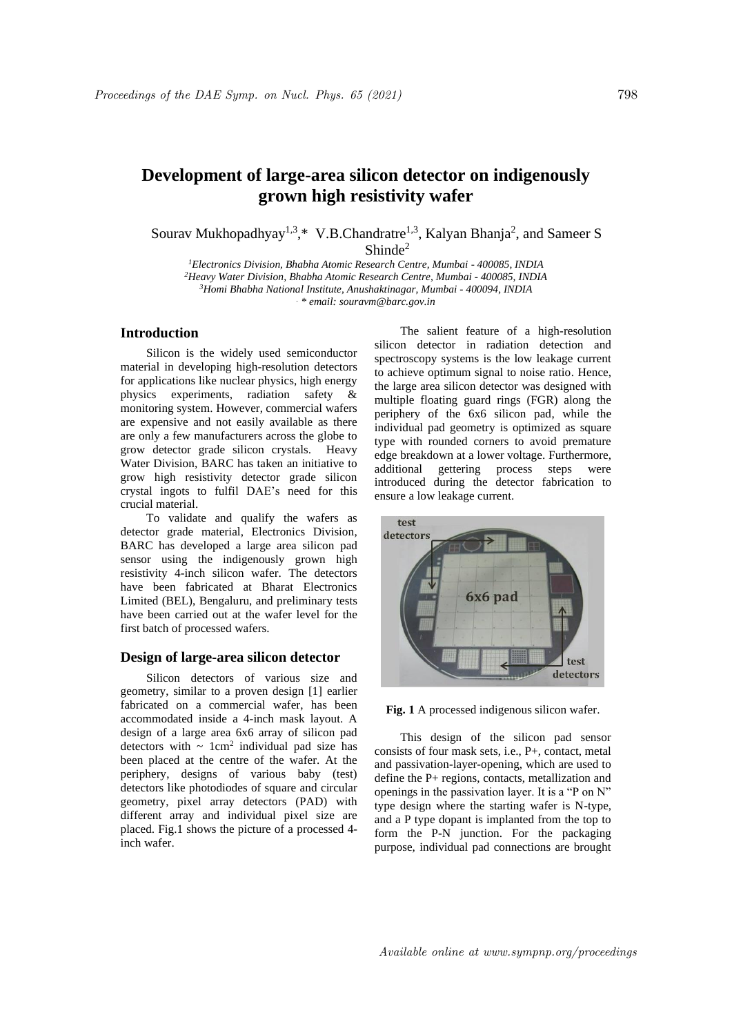# **Development of large-area silicon detector on indigenously grown high resistivity wafer**

Sourav Mukhopadhyay<sup>1,3</sup>,\* V.B.Chandratre<sup>1,3</sup>, Kalyan Bhanja<sup>2</sup>, and Sameer S  $Shinde<sup>2</sup>$ 

*Electronics Division, Bhabha Atomic Research Centre, Mumbai - 400085, INDIA Heavy Water Division, Bhabha Atomic Research Centre, Mumbai - 400085, INDIA Homi Bhabha National Institute, Anushaktinagar, Mumbai - 400094, INDIA . \* email: souravm@barc.gov.in*

# **Introduction**

Silicon is the widely used semiconductor material in developing high-resolution detectors for applications like nuclear physics, high energy physics experiments, radiation safety & monitoring system. However, commercial wafers are expensive and not easily available as there are only a few manufacturers across the globe to grow detector grade silicon crystals. Heavy Water Division, BARC has taken an initiative to grow high resistivity detector grade silicon crystal ingots to fulfil DAE's need for this crucial material.

To validate and qualify the wafers as detector grade material, Electronics Division, BARC has developed a large area silicon pad sensor using the indigenously grown high resistivity 4-inch silicon wafer. The detectors have been fabricated at Bharat Electronics Limited (BEL), Bengaluru, and preliminary tests have been carried out at the wafer level for the first batch of processed wafers.

#### **Design of large-area silicon detector**

Silicon detectors of various size and geometry, similar to a proven design [1] earlier fabricated on a commercial wafer, has been accommodated inside a 4-inch mask layout. A design of a large area 6x6 array of silicon pad detectors with  $\sim 1$  cm<sup>2</sup> individual pad size has been placed at the centre of the wafer. At the periphery, designs of various baby (test) detectors like photodiodes of square and circular geometry, pixel array detectors (PAD) with different array and individual pixel size are placed. Fig.1 shows the picture of a processed 4 inch wafer.

The salient feature of a high-resolution silicon detector in radiation detection and spectroscopy systems is the low leakage current to achieve optimum signal to noise ratio. Hence, the large area silicon detector was designed with multiple floating guard rings (FGR) along the periphery of the 6x6 silicon pad, while the individual pad geometry is optimized as square type with rounded corners to avoid premature edge breakdown at a lower voltage. Furthermore, additional gettering process steps were introduced during the detector fabrication to ensure a low leakage current.



**Fig. 1** A processed indigenous silicon wafer.

This design of the silicon pad sensor consists of four mask sets, i.e., P+, contact, metal and passivation-layer-opening, which are used to define the P+ regions, contacts, metallization and openings in the passivation layer. It is a "P on N" type design where the starting wafer is N-type, and a P type dopant is implanted from the top to form the P-N junction. For the packaging purpose, individual pad connections are brought